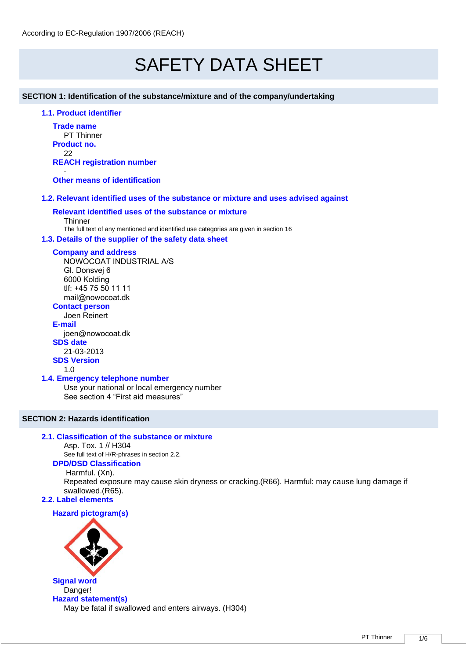# SAFETY DATA SHEET

**SECTION 1: Identification of the substance/mixture and of the company/undertaking** 

### **1.1. Product identifier**

**Trade name** PT Thinner **Product no.** 22 **REACH registration number** -

**Other means of identification**

### **1.2. Relevant identified uses of the substance or mixture and uses advised against**

### **Relevant identified uses of the substance or mixture**

**Thinner** The full text of any mentioned and identified use categories are given in section 16

### **1.3. Details of the supplier of the safety data sheet**

### **Company and address**

NOWOCOAT INDUSTRIAL A/S Gl. Donsvej 6 6000 Kolding tlf: +45 75 50 11 11 mail@nowocoat.dk **Contact person**

Joen Reinert **E-mail** joen@nowocoat.dk **SDS date**  21-03-2013 **SDS Version**

1.0

### **1.4. Emergency telephone number**

Use your national or local emergency number See section 4 "First aid measures"

### **SECTION 2: Hazards identification**

### **2.1. Classification of the substance or mixture**

Asp. Tox. 1 // H304

See full text of H/R-phrases in section 2.2. **DPD/DSD Classification**

Harmful. (Xn).

Repeated exposure may cause skin dryness or cracking.(R66). Harmful: may cause lung damage if swallowed.(R65).

### **2.2. Label elements**

### **Hazard pictogram(s)**



**Signal word** Danger! **Hazard statement(s)** May be fatal if swallowed and enters airways. (H304)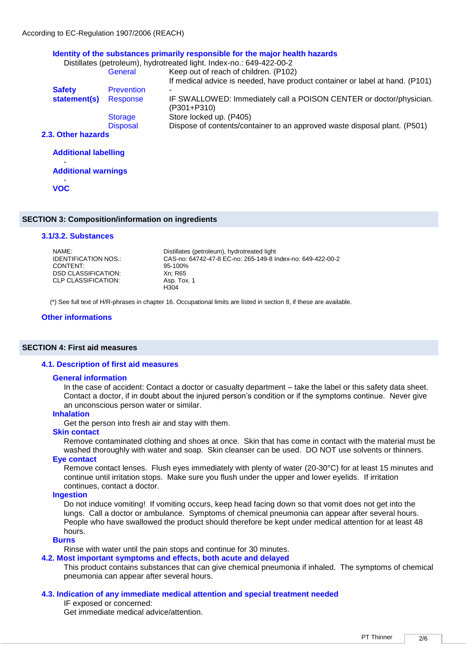### **Identity of the substances primarily responsible for the major health hazards**

|                              |                   | Distillates (petroleum), hydrotreated light. Index-no.: 649-422-00-2               |
|------------------------------|-------------------|------------------------------------------------------------------------------------|
|                              | General           | Keep out of reach of children. (P102)                                              |
|                              |                   | If medical advice is needed, have product container or label at hand. (P101)       |
| <b>Safety</b>                | <b>Prevention</b> | -                                                                                  |
| statement(s)                 | Response          | IF SWALLOWED: Immediately call a POISON CENTER or doctor/physician.<br>(P301+P310) |
|                              | <b>Storage</b>    | Store locked up. (P405)                                                            |
|                              | <b>Disposal</b>   | Dispose of contents/container to an approved waste disposal plant. (P501)          |
| 2.3. Other hazards           |                   |                                                                                    |
| A alabia a a chiadal da anti |                   |                                                                                    |

| <b>Additional labelling</b> |  |
|-----------------------------|--|
| <b>Additional warnings</b>  |  |
| <b>VOC</b>                  |  |
|                             |  |

### **SECTION 3: Composition/information on ingredients**

### **3.1/3.2. Substances**

| NAMF:                |                                                            |
|----------------------|------------------------------------------------------------|
|                      | Distillates (petroleum), hydrotreated light                |
| IDENTIFICATION NOS.: | CAS-no: 64742-47-8 EC-no: 265-149-8 Index-no: 649-422-00-2 |
| CONTENT:             | 95-100%                                                    |
| DSD CLASSIFICATION:  | Xn: R65                                                    |
| CLP CLASSIFICATION:  | Asp. Tox. 1                                                |
|                      | H304                                                       |

(\*) See full text of H/R-phrases in chapter 16. Occupational limits are listed in section 8, if these are available.

### **Other informations**

### **SECTION 4: First aid measures**

### **4.1. Description of first aid measures**

#### **General information**

In the case of accident: Contact a doctor or casualty department – take the label or this safety data sheet. Contact a doctor, if in doubt about the injured person's condition or if the symptoms continue. Never give an unconscious person water or similar.

### **Inhalation**

Get the person into fresh air and stay with them.

### **Skin contact**

Remove contaminated clothing and shoes at once. Skin that has come in contact with the material must be washed thoroughly with water and soap. Skin cleanser can be used. DO NOT use solvents or thinners.

### **Eye contact**

Remove contact lenses. Flush eyes immediately with plenty of water (20-30°C) for at least 15 minutes and continue until irritation stops. Make sure you flush under the upper and lower eyelids. If irritation continues, contact a doctor.

### **Ingestion**

Do not induce vomiting! If vomiting occurs, keep head facing down so that vomit does not get into the lungs. Call a doctor or ambulance. Symptoms of chemical pneumonia can appear after several hours. People who have swallowed the product should therefore be kept under medical attention for at least 48 hours.

### **Burns**

Rinse with water until the pain stops and continue for 30 minutes.

### **4.2. Most important symptoms and effects, both acute and delayed**

This product contains substances that can give chemical pneumonia if inhaled. The symptoms of chemical pneumonia can appear after several hours.

### **4.3. Indication of any immediate medical attention and special treatment needed**

IF exposed or concerned:

Get immediate medical advice/attention.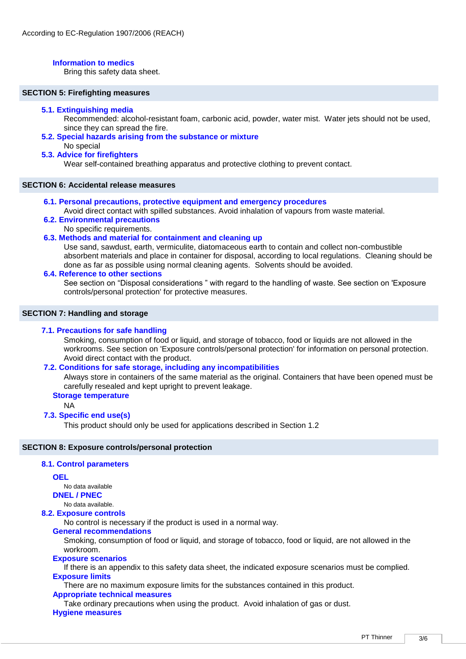### **Information to medics**

Bring this safety data sheet.

### **SECTION 5: Firefighting measures**

### **5.1. Extinguishing media**

Recommended: alcohol-resistant foam, carbonic acid, powder, water mist. Water jets should not be used, since they can spread the fire.

**5.2. Special hazards arising from the substance or mixture** 

### No special

### **5.3. Advice for firefighters**

Wear self-contained breathing apparatus and protective clothing to prevent contact.

### **SECTION 6: Accidental release measures**

**6.1. Personal precautions, protective equipment and emergency procedures** 

Avoid direct contact with spilled substances. Avoid inhalation of vapours from waste material. **6.2. Environmental precautions** 

No specific requirements.

### **6.3. Methods and material for containment and cleaning up**

Use sand, sawdust, earth, vermiculite, diatomaceous earth to contain and collect non-combustible absorbent materials and place in container for disposal, according to local regulations. Cleaning should be done as far as possible using normal cleaning agents. Solvents should be avoided.

### **6.4. Reference to other sections**

See section on "Disposal considerations " with regard to the handling of waste. See section on 'Exposure controls/personal protection' for protective measures.

### **SECTION 7: Handling and storage**

### **7.1. Precautions for safe handling**

Smoking, consumption of food or liquid, and storage of tobacco, food or liquids are not allowed in the workrooms. See section on 'Exposure controls/personal protection' for information on personal protection. Avoid direct contact with the product.

### **7.2. Conditions for safe storage, including any incompatibilities**

Always store in containers of the same material as the original. Containers that have been opened must be carefully resealed and kept upright to prevent leakage.

### **Storage temperature**

NA

### **7.3. Specific end use(s)**

This product should only be used for applications described in Section 1.2

### **SECTION 8: Exposure controls/personal protection**

### **8.1. Control parameters**

### **OEL**

No data available

**DNEL / PNEC**

## No data available.

**8.2. Exposure controls** 

No control is necessary if the product is used in a normal way.

### **General recommendations**

Smoking, consumption of food or liquid, and storage of tobacco, food or liquid, are not allowed in the workroom.

### **Exposure scenarios**

If there is an appendix to this safety data sheet, the indicated exposure scenarios must be complied. **Exposure limits**

There are no maximum exposure limits for the substances contained in this product.

### **Appropriate technical measures**

Take ordinary precautions when using the product. Avoid inhalation of gas or dust. **Hygiene measures**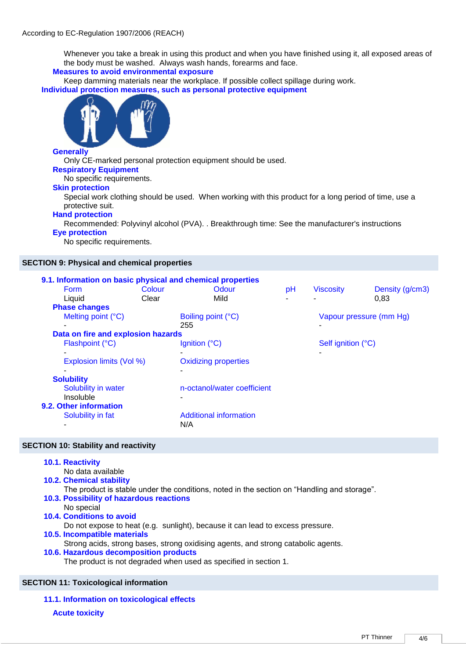Whenever you take a break in using this product and when you have finished using it, all exposed areas of the body must be washed. Always wash hands, forearms and face.

**Measures to avoid environmental exposure**

Keep damming materials near the workplace. If possible collect spillage during work. **Individual protection measures, such as personal protective equipment**



### **Generally**

Only CE-marked personal protection equipment should be used.

### **Respiratory Equipment**

No specific requirements.

### **Skin protection**

Special work clothing should be used. When working with this product for a long period of time, use a protective suit.

### **Hand protection**

Recommended: Polyvinyl alcohol (PVA). . Breakthrough time: See the manufacturer's instructions

### **Eye protection**

No specific requirements.

### **SECTION 9: Physical and chemical properties**

|                                    |        | 9.1. Information on basic physical and chemical properties |    |                    |                         |  |
|------------------------------------|--------|------------------------------------------------------------|----|--------------------|-------------------------|--|
| <b>Form</b>                        | Colour | Odour                                                      | pH | <b>Viscosity</b>   | Density (g/cm3)         |  |
| Liquid                             | Clear  | Mild                                                       |    | ۰                  | 0.83                    |  |
| <b>Phase changes</b>               |        |                                                            |    |                    |                         |  |
| Melting point (°C)                 |        | Boiling point (°C)                                         |    |                    | Vapour pressure (mm Hg) |  |
|                                    |        | 255                                                        |    |                    |                         |  |
| Data on fire and explosion hazards |        |                                                            |    |                    |                         |  |
| Flashpoint (°C)                    |        | Ignition $(^{\circ}C)$                                     |    | Self ignition (°C) |                         |  |
|                                    |        |                                                            |    |                    |                         |  |
| Explosion limits (Vol %)           |        | <b>Oxidizing properties</b>                                |    |                    |                         |  |
|                                    |        | $\overline{\phantom{0}}$                                   |    |                    |                         |  |
| <b>Solubility</b>                  |        |                                                            |    |                    |                         |  |
| Solubility in water                |        | n-octanol/water coefficient                                |    |                    |                         |  |
| Insoluble                          |        |                                                            |    |                    |                         |  |
| 9.2. Other information             |        |                                                            |    |                    |                         |  |
| Solubility in fat                  |        | <b>Additional information</b>                              |    |                    |                         |  |
|                                    |        | N/A                                                        |    |                    |                         |  |

### **SECTION 10: Stability and reactivity**

| 10.1. Reactivity<br>No data available                                                                                          |
|--------------------------------------------------------------------------------------------------------------------------------|
| <b>10.2. Chemical stability</b><br>The product is stable under the conditions, noted in the section on "Handling and storage". |
| 10.3. Possibility of hazardous reactions<br>No special                                                                         |
| 10.4. Conditions to avoid<br>Do not expose to heat (e.g. sunlight), because it can lead to excess pressure.                    |
| 10.5. Incompatible materials<br>Strong acids, strong bases, strong oxidising agents, and strong catabolic agents.              |
| 10.6. Hazardous decomposition products<br>The product is not degraded when used as specified in section 1.                     |
|                                                                                                                                |

### **SECTION 11: Toxicological information**

**11.1. Information on toxicological effects**

**Acute toxicity**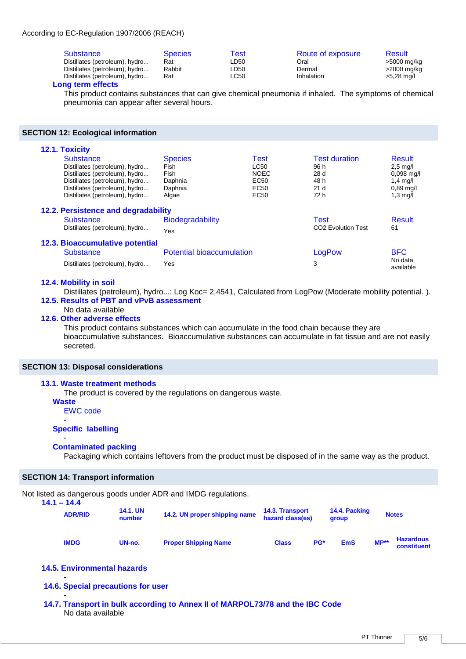### According to EC-Regulation 1907/2006 (REACH)

| Substance<br>Distillates (petroleum), hydro | <b>Species</b><br>Rat | Test<br>LD50 | Route of exposure<br>Oral | <b>Result</b><br>>5000 mg/kg |
|---------------------------------------------|-----------------------|--------------|---------------------------|------------------------------|
| Distillates (petroleum), hydro              | Rabbit                | LD50         | Dermal                    | >2000 mg/kg                  |
| Distillates (petroleum), hydro              | Rat                   | LC50         | Inhalation                | $>5.28$ mg/l                 |

### **Long term effects**

This product contains substances that can give chemical pneumonia if inhaled. The symptoms of chemical pneumonia can appear after several hours.

### **SECTION 12: Ecological information**

| 12.1. Toxicity                      |                                  |             |                                |                      |
|-------------------------------------|----------------------------------|-------------|--------------------------------|----------------------|
| <b>Substance</b>                    | <b>Species</b>                   | Test        | <b>Test duration</b>           | Result               |
| Distillates (petroleum), hydro      | Fish                             | LC50        | 96 h                           | $2,5$ mg/l           |
| Distillates (petroleum), hydro      | Fish                             | <b>NOEC</b> | 28 d                           | $0.098$ mg/l         |
| Distillates (petroleum), hydro      | Daphnia                          | EC50        | 48 h                           | $1,4$ mg/l           |
| Distillates (petroleum), hydro      | Daphnia                          | EC50        | 21 <sub>d</sub>                | $0.89$ mg/l          |
| Distillates (petroleum), hydro      | Algae                            | <b>EC50</b> | 72 h                           | $1,3 \text{ mq/l}$   |
| 12.2. Persistence and degradability |                                  |             |                                |                      |
| <b>Substance</b>                    | <b>Biodegradability</b>          |             | Test                           | <b>Result</b>        |
| Distillates (petroleum), hydro      | Yes                              |             | CO <sub>2</sub> Evolution Test | 61                   |
| 12.3. Bioaccumulative potential     |                                  |             |                                |                      |
| <b>Substance</b>                    | <b>Potential bioaccumulation</b> |             | LogPow                         | <b>BFC</b>           |
| Distillates (petroleum), hydro      | Yes                              |             | 3                              | No data<br>available |

### **12.4. Mobility in soil**

Distillates (petroleum), hydro...: Log Koc= 2,4541, Calculated from LogPow (Moderate mobility potential.). **12.5. Results of PBT and vPvB assessment** 

## No data available

### **12.6. Other adverse effects**

This product contains substances which can accumulate in the food chain because they are bioaccumulative substances. Bioaccumulative substances can accumulate in fat tissue and are not easily secreted.

### **SECTION 13: Disposal considerations**

### **13.1. Waste treatment methods**

The product is covered by the regulations on dangerous waste.

**Waste**

-

EWC code

### **Specific labelling**

### - **Contaminated packing**

Packaging which contains leftovers from the product must be disposed of in the same way as the product.

### **SECTION 14: Transport information**

Not listed as dangerous goods under ADR and IMDG regulations.

| $14.1 - 14.4$ |                |                           | 0.000 ao adingoroao goodo dinaor 7.011 ania mn0 o rogala.iono. |                                            |                        |              |                                 |
|---------------|----------------|---------------------------|----------------------------------------------------------------|--------------------------------------------|------------------------|--------------|---------------------------------|
|               | <b>ADR/RID</b> | <b>14.1. UN</b><br>number | 14.2. UN proper shipping name                                  | <b>14.3. Transport</b><br>hazard class(es) | 14.4. Packing<br>group | <b>Notes</b> |                                 |
|               | <b>IMDG</b>    | UN-no.                    | <b>Proper Shipping Name</b>                                    | PG*<br><b>Class</b>                        | <b>EmS</b>             | $MP**$       | <b>Hazardous</b><br>constituent |

### **14.5. Environmental hazards**

### - **14.6. Special precautions for user**

- **14.7. Transport in bulk according to Annex II of MARPOL73/78 and the IBC Code**  No data available